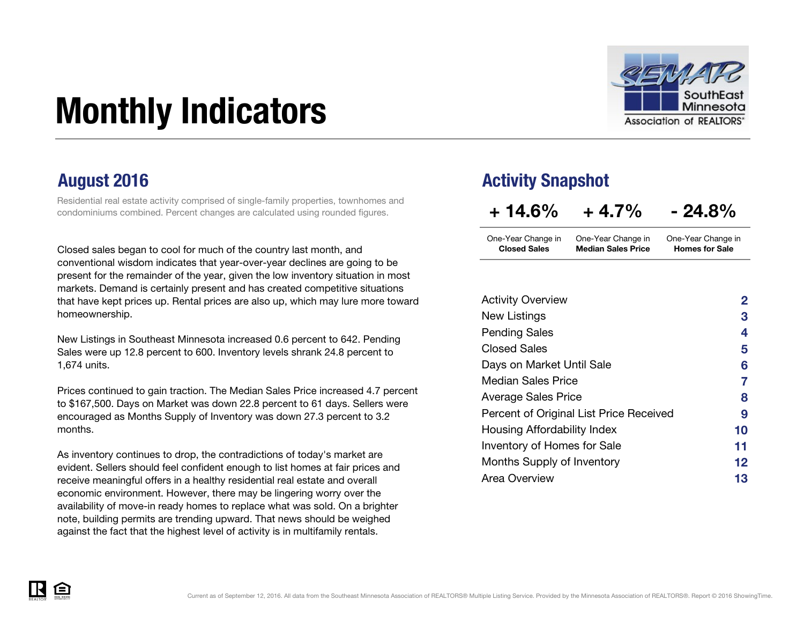# Monthly Indicators



Residential real estate activity comprised of single-family properties, townhomes and condominiums combined. Percent changes are calculated using rounded figures.

Closed sales began to cool for much of the country last month, and conventional wisdom indicates that year-over-year declines are going to be present for the remainder of the year, given the low inventory situation in most markets. Demand is certainly present and has created competitive situations that have kept prices up. Rental prices are also up, which may lure more toward homeownership.

New Listings in Southeast Minnesota increased 0.6 percent to 642. Pending Sales were up 12.8 percent to 600. Inventory levels shrank 24.8 percent to 1,674 units.

Prices continued to gain traction. The Median Sales Price increased 4.7 percent to \$167,500. Days on Market was down 22.8 percent to 61 days. Sellers were encouraged as Months Supply of Inventory was down 27.3 percent to 3.2 months.

As inventory continues to drop, the contradictions of today's market are evident. Sellers should feel confident enough to list homes at fair prices and receive meaningful offers in a healthy residential real estate and overall economic environment. However, there may be lingering worry over the availability of move-in ready homes to replace what was sold. On a brighter note, building permits are trending upward. That news should be weighed against the fact that the highest level of activity is in multifamily rentals.

### August 2016 **August 2016** Activity Snapshot

| $+14.6%$ | $+4.7%$ | $-24.8%$ |
|----------|---------|----------|
|          |         |          |

| One-Year Change in  | One-Year Change in        | One-Year Change in    |
|---------------------|---------------------------|-----------------------|
| <b>Closed Sales</b> | <b>Median Sales Price</b> | <b>Homes for Sale</b> |

| <b>Activity Overview</b>                | 2  |
|-----------------------------------------|----|
| New Listings                            | З  |
| <b>Pending Sales</b>                    | 4  |
| <b>Closed Sales</b>                     | 5  |
| Days on Market Until Sale               | 6  |
| <b>Median Sales Price</b>               | 7  |
| <b>Average Sales Price</b>              | 8  |
| Percent of Original List Price Received | 9  |
| Housing Affordability Index             | 10 |
| <b>Inventory of Homes for Sale</b>      | 11 |
| Months Supply of Inventory              | 12 |
| <b>Area Overview</b>                    | 13 |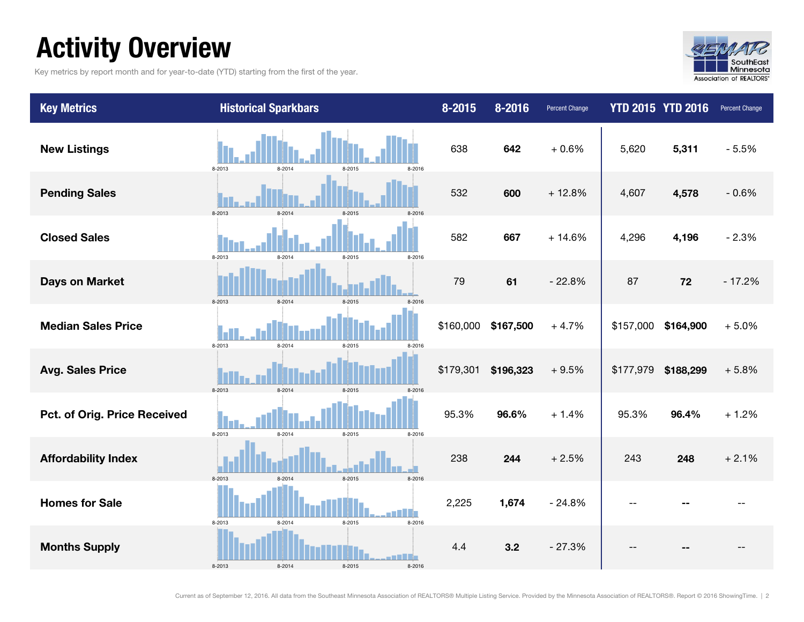### Activity Overview

Key metrics by report month and for year-to-date (YTD) starting from the first of the year.



| <b>Key Metrics</b>           | <b>Historical Sparkbars</b>          | 8-2015    | $8 - 2016$ | Percent Change |           | <b>YTD 2015 YTD 2016</b> | Percent Change |
|------------------------------|--------------------------------------|-----------|------------|----------------|-----------|--------------------------|----------------|
| <b>New Listings</b>          | 8-2013<br>8-2014<br>8-2015<br>8-2016 | 638       | 642        | $+0.6%$        | 5,620     | 5,311                    | $-5.5%$        |
| <b>Pending Sales</b>         | 8-2013<br>8-2014<br>8-2015           | 532       | 600        | $+12.8%$       | 4,607     | 4,578                    | $-0.6%$        |
| <b>Closed Sales</b>          | 8-2013<br>8-2014<br>8-2015<br>8-2016 | 582       | 667        | $+14.6%$       | 4,296     | 4,196                    | $-2.3%$        |
| <b>Days on Market</b>        | 8-2014<br>8-2013<br>8-2015           | 79        | 61         | $-22.8%$       | 87        | 72                       | $-17.2%$       |
| <b>Median Sales Price</b>    | 8-2013<br>8-2014<br>8-2015<br>8-2016 | \$160,000 | \$167,500  | $+4.7%$        | \$157,000 | \$164,900                | $+5.0%$        |
| <b>Avg. Sales Price</b>      | 8-2013<br>8-2014<br>8-2015           | \$179,301 | \$196,323  | $+9.5%$        |           | \$177,979 \$188,299      | $+5.8%$        |
| Pct. of Orig. Price Received | 8-2013<br>8-2014<br>8-2015<br>8-2016 | 95.3%     | 96.6%      | $+1.4%$        | 95.3%     | 96.4%                    | $+1.2%$        |
| <b>Affordability Index</b>   | 8-2015<br>8-2016<br>8-2013<br>8-2014 | 238       | 244        | $+2.5%$        | 243       | 248                      | $+2.1%$        |
| <b>Homes for Sale</b>        | 8-2015<br>8-2016<br>8-2013<br>8-2014 | 2,225     | 1,674      | $-24.8%$       |           |                          |                |
| <b>Months Supply</b>         | 8-2014<br>8-2013<br>8-2015<br>8-2016 | 4.4       | 3.2        | $-27.3%$       |           |                          |                |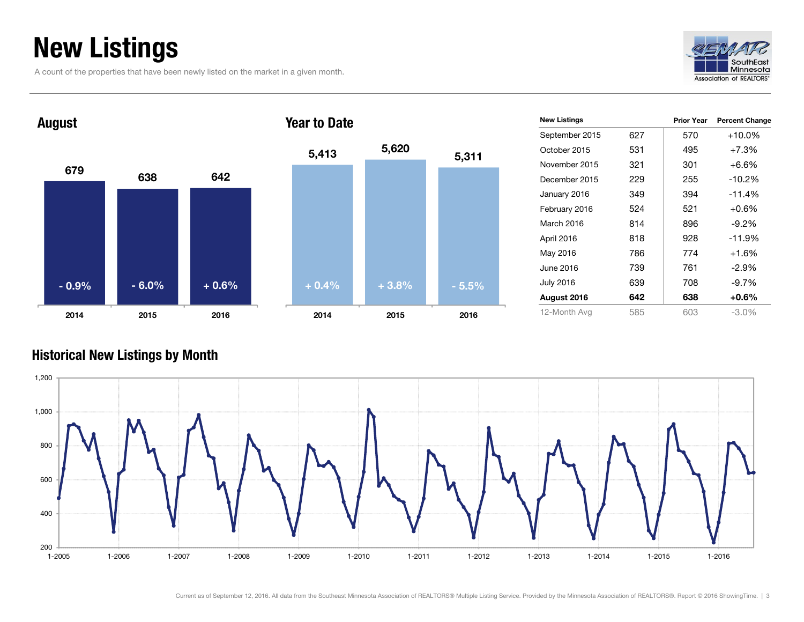### New Listings

A count of the properties that have been newly listed on the market in a given month.





|     | <b>Prior Year</b> | <b>Percent Change</b> |
|-----|-------------------|-----------------------|
| 627 | 570               | $+10.0\%$             |
| 531 | 495               | $+7.3%$               |
| 321 | 301               | +6.6%                 |
| 229 | 255               | $-10.2%$              |
| 349 | 394               | $-11.4%$              |
| 524 | 521               | $+0.6\%$              |
| 814 | 896               | $-9.2\%$              |
| 818 | 928               | $-11.9%$              |
| 786 | 774               | $+1.6%$               |
| 739 | 761               | $-2.9\%$              |
| 639 | 708               | $-9.7%$               |
| 642 | 638               | $+0.6\%$              |
| 585 | 603               | $-3.0\%$              |
|     |                   |                       |

#### Historical New Listings by Month

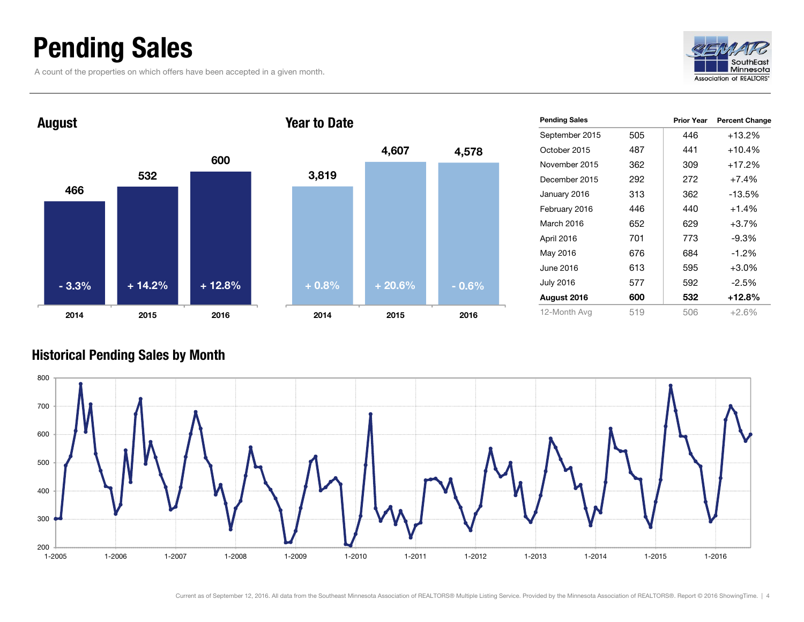### Pending Sales

A count of the properties on which offers have been accepted in a given month.





| <b>Pending Sales</b> |     | <b>Prior Year</b> | <b>Percent Change</b> |
|----------------------|-----|-------------------|-----------------------|
| September 2015       | 505 | 446               | +13.2%                |
| October 2015         | 487 | 441               | $+10.4%$              |
| November 2015        | 362 | 309               | $+17.2%$              |
| December 2015        | 292 | 272               | $+7.4%$               |
| January 2016         | 313 | 362               | -13.5%                |
| February 2016        | 446 | 440               | $+1.4%$               |
| March 2016           | 652 | 629               | $+3.7%$               |
| April 2016           | 701 | 773               | $-9.3%$               |
| May 2016             | 676 | 684               | $-1.2%$               |
| June 2016            | 613 | 595               | $+3.0%$               |
| <b>July 2016</b>     | 577 | 592               | -2.5%                 |
| August 2016          | 600 | 532               | $+12.8%$              |
| 12-Month Avg         | 519 | 506               | $+2.6%$               |

#### Historical Pending Sales by Month

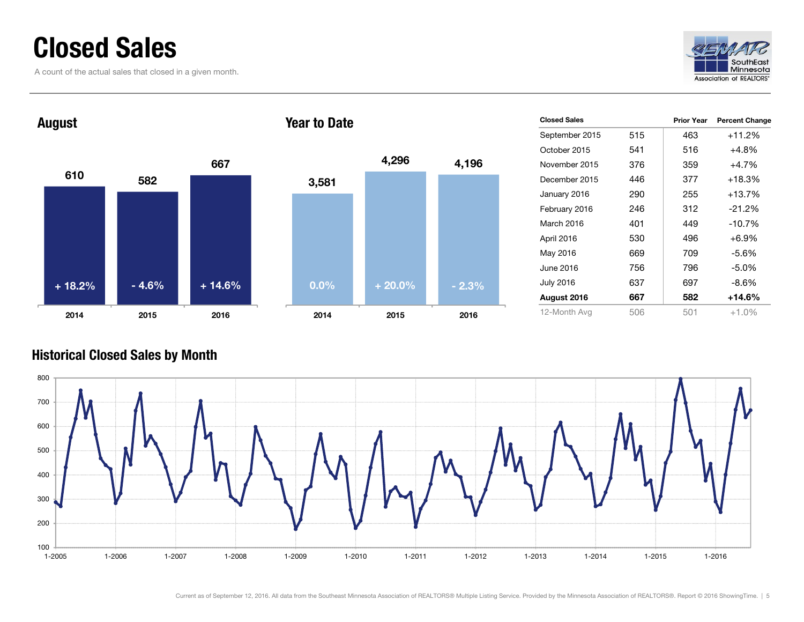### Closed Sales

A count of the actual sales that closed in a given month.



#### 610 5826672014 2015 2016 August 3,581 2014Year to Date+ 18.2% $-4.6\%$  + 14.6%

| 2014    | 2015     | 2016    |
|---------|----------|---------|
| $0.0\%$ | $+20.0%$ | $-2.3%$ |
|         |          |         |
|         |          |         |
|         |          |         |
|         |          |         |
| 3,581   |          |         |
|         | 4,296    | 4,196   |
|         |          |         |

| <b>Closed Sales</b> |     | <b>Prior Year</b> | <b>Percent Change</b> |
|---------------------|-----|-------------------|-----------------------|
| September 2015      | 515 | 463               | +11.2%                |
| October 2015        | 541 | 516               | +4.8%                 |
| November 2015       | 376 | 359               | $+4.7%$               |
| December 2015       | 446 | 377               | $+18.3%$              |
| January 2016        | 290 | 255               | $+13.7%$              |
| February 2016       | 246 | 312               | $-21.2%$              |
| March 2016          | 401 | 449               | $-10.7%$              |
| April 2016          | 530 | 496               | $+6.9%$               |
| May 2016            | 669 | 709               | $-5.6\%$              |
| June 2016           | 756 | 796               | $-5.0\%$              |
| July 2016           | 637 | 697               | $-8.6%$               |
| August 2016         | 667 | 582               | +14.6%                |
| 12-Month Avg        | 506 | 501               | $+1.0%$               |

#### Historical Closed Sales by Month

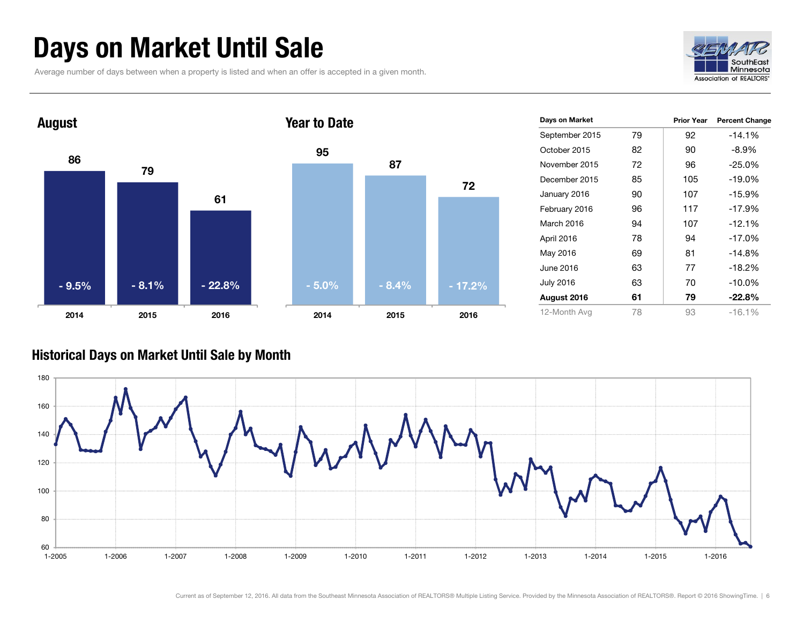### Days on Market Until Sale

Average number of days between when a property is listed and when an offer is accepted in a given month.





| Days on Market   |    | <b>Prior Year</b> | <b>Percent Change</b> |
|------------------|----|-------------------|-----------------------|
| September 2015   | 79 | 92                | $-14.1%$              |
| October 2015     | 82 | 90                | $-8.9\%$              |
| November 2015    | 72 | 96                | $-25.0%$              |
| December 2015    | 85 | 105               | $-19.0%$              |
| January 2016     | 90 | 107               | $-15.9%$              |
| February 2016    | 96 | 117               | $-17.9%$              |
| March 2016       | 94 | 107               | $-12.1%$              |
| April 2016       | 78 | 94                | $-17.0%$              |
| May 2016         | 69 | 81                | $-14.8%$              |
| June 2016        | 63 | 77                | $-18.2%$              |
| <b>July 2016</b> | 63 | 70                | $-10.0\%$             |
| August 2016      | 61 | 79                | $-22.8\%$             |
| 12-Month Avg     | 78 | 93                | $-16.1%$              |

#### Historical Days on Market Until Sale by Month

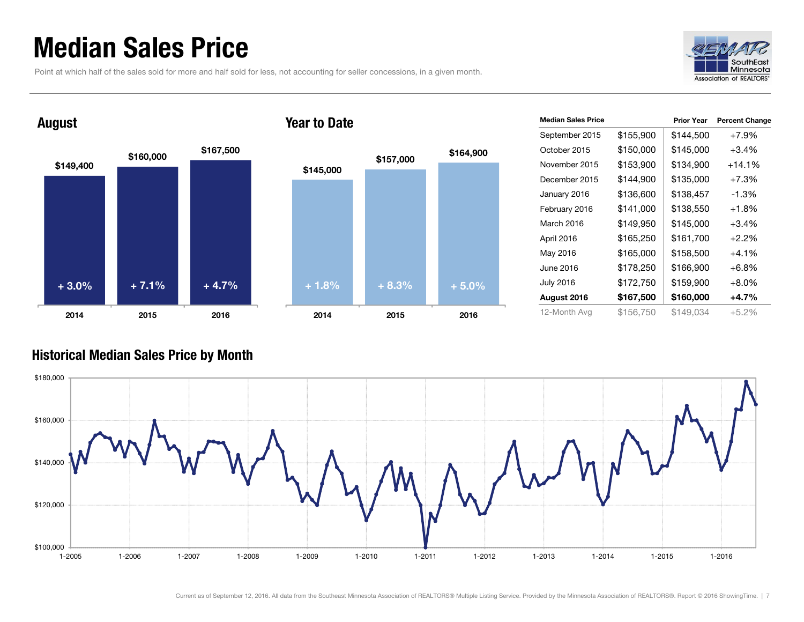### Median Sales Price

August

Point at which half of the sales sold for more and half sold for less, not accounting for seller concessions, in a given month.





#### Year to Date



| <b>Median Sales Price</b> |           | <b>Prior Year</b> | <b>Percent Change</b> |
|---------------------------|-----------|-------------------|-----------------------|
| September 2015            | \$155,900 | \$144,500         | $+7.9%$               |
| October 2015              | \$150,000 | \$145,000         | +3.4%                 |
| November 2015             | \$153,900 | \$134,900         | $+14.1%$              |
| December 2015             | \$144,900 | \$135,000         | $+7.3%$               |
| January 2016              | \$136,600 | \$138,457         | $-1.3%$               |
| February 2016             | \$141,000 | \$138,550         | $+1.8%$               |
| March 2016                | \$149,950 | \$145,000         | $+3.4%$               |
| April 2016                | \$165,250 | \$161,700         | $+2.2%$               |
| May 2016                  | \$165,000 | \$158,500         | $+4.1\%$              |
| June 2016                 | \$178,250 | \$166,900         | $+6.8%$               |
| <b>July 2016</b>          | \$172,750 | \$159,900         | $+8.0%$               |
| August 2016               | \$167,500 | \$160,000         | +4.7%                 |
| 12-Month Avg              | \$156,750 | \$149.034         | $+5.2%$               |

#### Historical Median Sales Price by Month

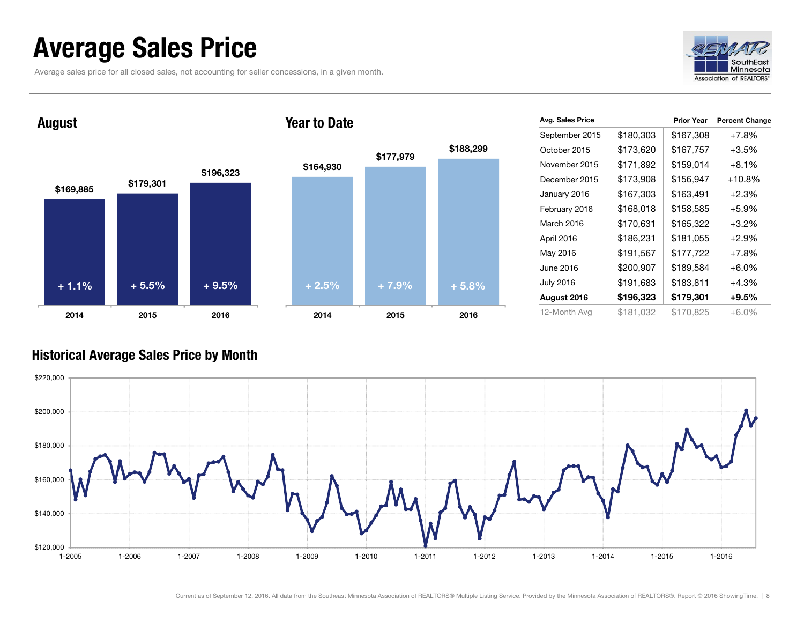### Average Sales Price

Average sales price for all closed sales, not accounting for seller concessions, in a given month.



#### $$169,885$   $$179,301$ \$196,323 2014 2015 2016 August \$164,930 \$177,979 \$188,299 2014 2015 2016 Year to Date+ 1.1% $\%$  + 5.5% + 9.5% + 2.5% + 7.9% + 5.8%

| Avg. Sales Price |           | <b>Prior Year</b> | <b>Percent Change</b> |
|------------------|-----------|-------------------|-----------------------|
| September 2015   | \$180,303 | \$167,308         | $+7.8%$               |
| October 2015     | \$173,620 | \$167,757         | $+3.5%$               |
| November 2015    | \$171,892 | \$159,014         | $+8.1%$               |
| December 2015    | \$173,908 | \$156,947         | $+10.8%$              |
| January 2016     | \$167,303 | \$163,491         | $+2.3%$               |
| February 2016    | \$168,018 | \$158,585         | $+5.9%$               |
| March 2016       | \$170,631 | \$165,322         | $+3.2%$               |
| April 2016       | \$186,231 | \$181,055         | $+2.9%$               |
| May 2016         | \$191,567 | \$177,722         | $+7.8%$               |
| June 2016        | \$200,907 | \$189,584         | $+6.0%$               |
| <b>July 2016</b> | \$191,683 | \$183,811         | $+4.3%$               |
| August 2016      | \$196,323 | \$179,301         | $+9.5\%$              |
| 12-Month Avg     | \$181,032 | \$170,825         | $+6.0%$               |

#### Historical Average Sales Price by Month

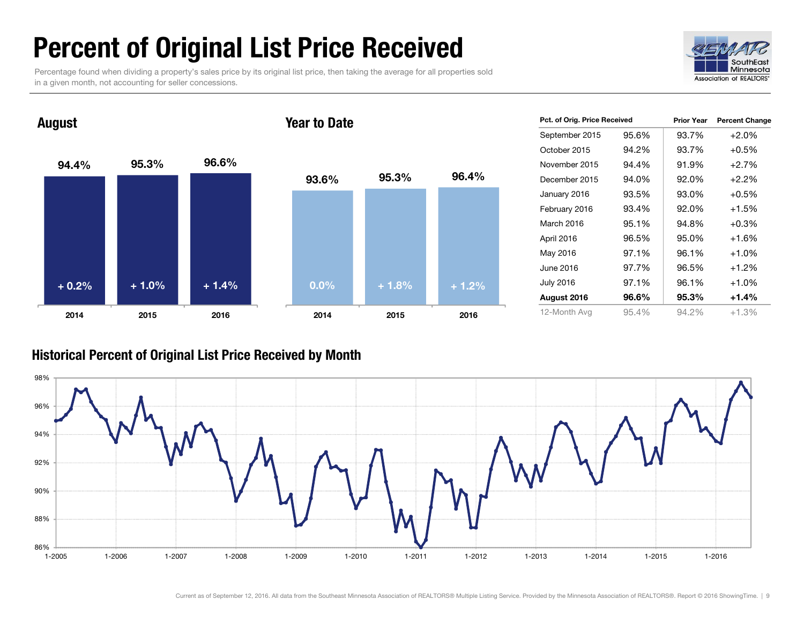### Percent of Original List Price Received

Percentage found when dividing a property's sales price by its original list price, then taking the average for all properties sold in a given month, not accounting for seller concessions.



#### 94.4% 95.3% 96.6% 2014 2015 2016 August 93.6% 95.3% 96.4% 2014 2015 2016 Year to Date+ 0.2% $\%$  + 1.0% + 1.4% + 0.0% + 1.8% + 1.2%

| Pct. of Orig. Price Received |       | <b>Prior Year</b> | <b>Percent Change</b> |
|------------------------------|-------|-------------------|-----------------------|
| September 2015               | 95.6% | 93.7%             | $+2.0%$               |
| October 2015                 | 94.2% | 93.7%             | $+0.5%$               |
| November 2015                | 94.4% | 91.9%             | $+2.7%$               |
| December 2015                | 94.0% | 92.0%             | $+2.2%$               |
| January 2016                 | 93.5% | 93.0%             | $+0.5%$               |
| February 2016                | 93.4% | 92.0%             | $+1.5%$               |
| March 2016                   | 95.1% | 94.8%             | $+0.3%$               |
| April 2016                   | 96.5% | 95.0%             | $+1.6%$               |
| May 2016                     | 97.1% | 96.1%             | $+1.0%$               |
| June 2016                    | 97.7% | 96.5%             | $+1.2%$               |
| <b>July 2016</b>             | 97.1% | 96.1%             | $+1.0%$               |
| August 2016                  | 96.6% | 95.3%             | +1.4%                 |
| 12-Month Avg                 | 95.4% | 94.2%             | $+1.3%$               |

#### Historical Percent of Original List Price Received by Month

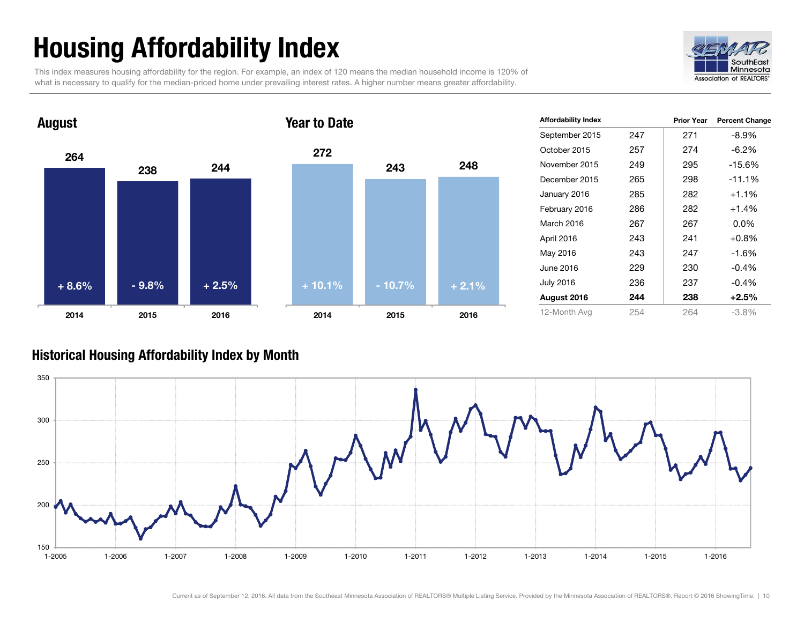## Housing Affordability Index

This index measures housing affordability for the region. For example, an index of 120 means the median household income is 120% of what is necessary to qualify for the median-priced home under prevailing interest rates. A higher number means greater affordability.





| <b>Affordability Index</b> |     | <b>Prior Year</b> | <b>Percent Change</b> |
|----------------------------|-----|-------------------|-----------------------|
| September 2015             | 247 | 271               | $-8.9\%$              |
| October 2015               | 257 | 274               | $-6.2%$               |
| November 2015              | 249 | 295               | -15.6%                |
| December 2015              | 265 | 298               | $-11.1%$              |
| January 2016               | 285 | 282               | $+1.1%$               |
| February 2016              | 286 | 282               | $+1.4%$               |
| March 2016                 | 267 | 267               | $0.0\%$               |
| April 2016                 | 243 | 241               | $+0.8%$               |
| May 2016                   | 243 | 247               | $-1.6%$               |
| June 2016                  | 229 | 230               | $-0.4%$               |
| <b>July 2016</b>           | 236 | 237               | $-0.4%$               |
| August 2016                | 244 | 238               | $+2.5%$               |
| 12-Month Avg               | 254 | 264               | -3.8%                 |

#### Historical Housing Affordability Index by Mont h

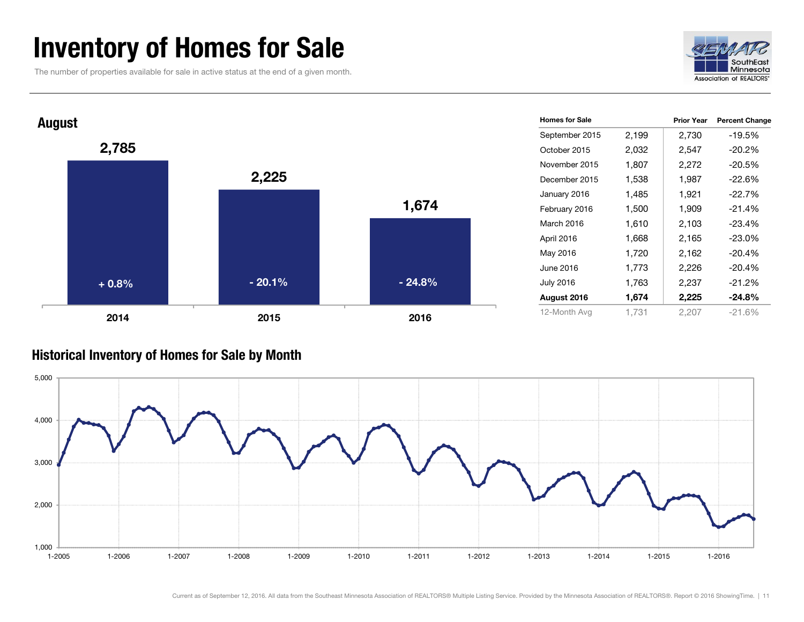### Inventory of Homes for Sale

The number of properties available for sale in active status at the end of a given month.





#### Historical Inventory of Homes for Sale by Month

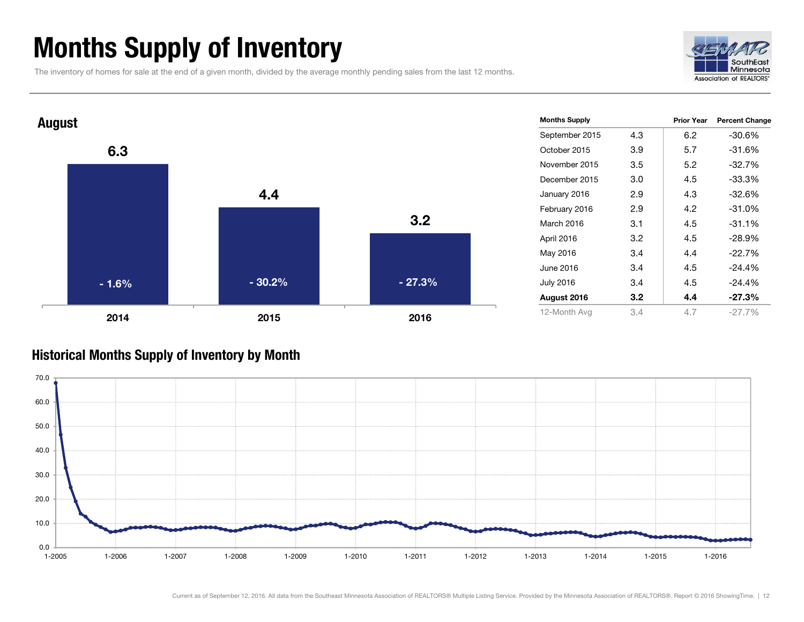### Months Supply of Inventory

The inventory of homes for sale at the end of a given month, divided by the average monthly pending sales from the last 12 months.





#### Historical Months Supply of Inventory by Month